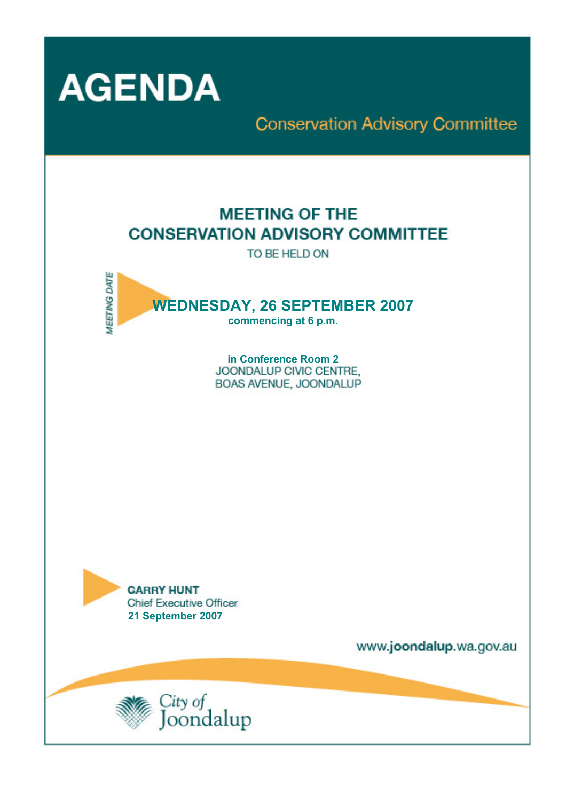

# **Conservation Advisory Committee**

## **MEETING OF THE CONSERVATION ADVISORY COMMITTEE**

TO BE HELD ON



**in Conference Room 2**  BOAS AVENUE, JOONDALUP



www.joondalup.wa.gov.au

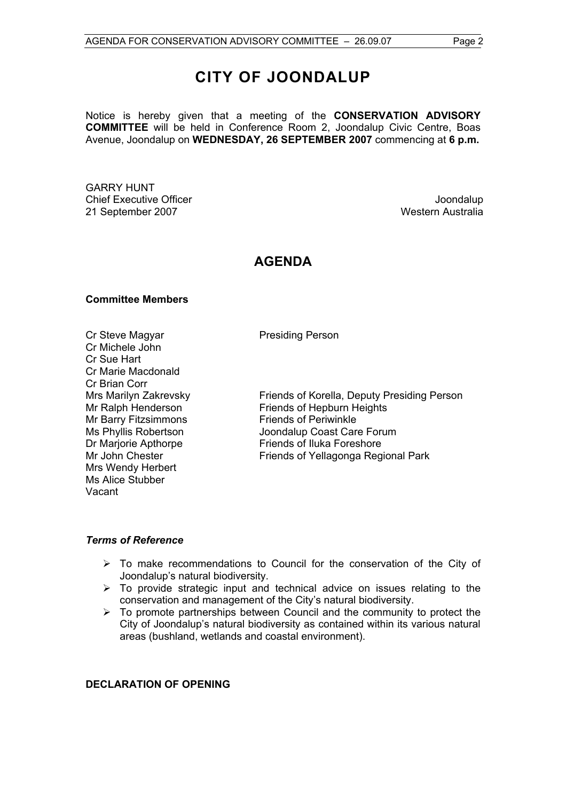## **CITY OF JOONDALUP**

Notice is hereby given that a meeting of the **CONSERVATION ADVISORY COMMITTEE** will be held in Conference Room 2, Joondalup Civic Centre, Boas Avenue, Joondalup on **WEDNESDAY, 26 SEPTEMBER 2007** commencing at **6 p.m.** 

GARRY HUNT Chief Executive Officer **Joondalup** 21 September 2007 Western Australia

### **AGENDA**

#### **Committee Members**

Cr Steve Magyar **Presiding Person** Cr Michele John Cr Sue Hart Cr Marie Macdonald Cr Brian Corr Mr Barry Fitzsimmons<br>
Ms Phyllis Robertson<br>
Ms Phyllis Robertson<br>
Ms Joondalup Coast Car Mrs Wendy Herbert Ms Alice Stubber Vacant

Mrs Marilyn Zakrevsky Friends of Korella, Deputy Presiding Person Mr Ralph Henderson Friends of Hepburn Heights Joondalup Coast Care Forum Dr Mariorie Apthorpe Friends of Iluka Foreshore Mr John Chester Friends of Yellagonga Regional Park

#### *Terms of Reference*

- $\triangleright$  To make recommendations to Council for the conservation of the City of Joondalup's natural biodiversity.
- $\triangleright$  To provide strategic input and technical advice on issues relating to the conservation and management of the City's natural biodiversity.
- $\geq$  To promote partnerships between Council and the community to protect the City of Joondalup's natural biodiversity as contained within its various natural areas (bushland, wetlands and coastal environment).

#### **DECLARATION OF OPENING**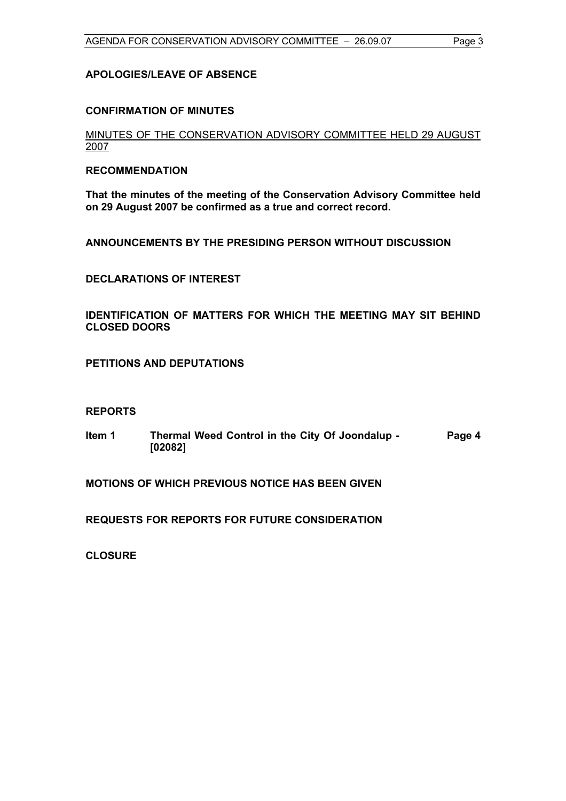#### **APOLOGIES/LEAVE OF ABSENCE**

#### **CONFIRMATION OF MINUTES**

MINUTES OF THE CONSERVATION ADVISORY COMMITTEE HELD 29 AUGUST 2007

#### **RECOMMENDATION**

**That the minutes of the meeting of the Conservation Advisory Committee held on 29 August 2007 be confirmed as a true and correct record.** 

**ANNOUNCEMENTS BY THE PRESIDING PERSON WITHOUT DISCUSSION** 

**DECLARATIONS OF INTEREST** 

**IDENTIFICATION OF MATTERS FOR WHICH THE MEETING MAY SIT BEHIND CLOSED DOORS** 

**PETITIONS AND DEPUTATIONS** 

#### **REPORTS**

**Item 1 Thermal Weed Control in the City Of Joondalup - [02082**] **Page 4** 

**MOTIONS OF WHICH PREVIOUS NOTICE HAS BEEN GIVEN** 

**REQUESTS FOR REPORTS FOR FUTURE CONSIDERATION** 

**CLOSURE**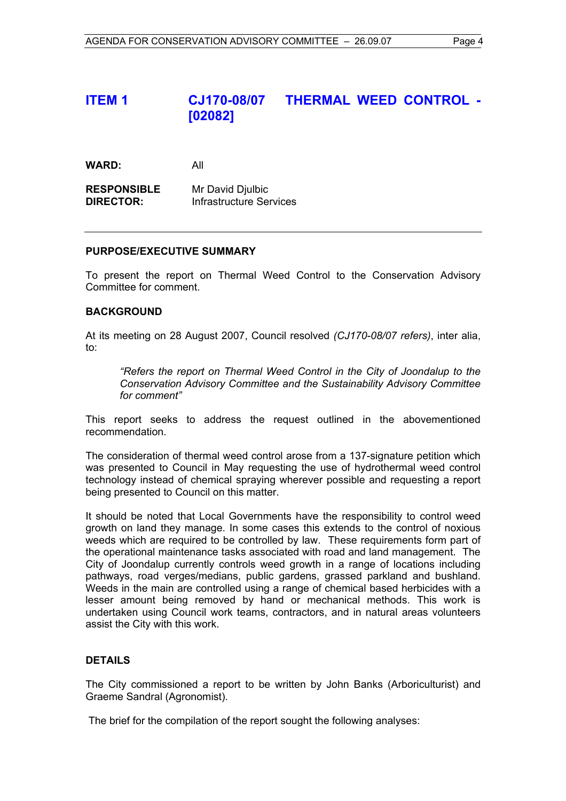## **ITEM 1 CJ170-08/07 THERMAL WEED CONTROL - [02082]**

**WARD:** All

**RESPONSIBLE** Mr David Djulbic **DIRECTOR:** Infrastructure Services

#### **PURPOSE/EXECUTIVE SUMMARY**

To present the report on Thermal Weed Control to the Conservation Advisory Committee for comment.

#### **BACKGROUND**

At its meeting on 28 August 2007, Council resolved *(CJ170-08/07 refers)*, inter alia, to:

*"Refers the report on Thermal Weed Control in the City of Joondalup to the Conservation Advisory Committee and the Sustainability Advisory Committee for comment"*

This report seeks to address the request outlined in the abovementioned recommendation.

The consideration of thermal weed control arose from a 137-signature petition which was presented to Council in May requesting the use of hydrothermal weed control technology instead of chemical spraying wherever possible and requesting a report being presented to Council on this matter.

It should be noted that Local Governments have the responsibility to control weed growth on land they manage. In some cases this extends to the control of noxious weeds which are required to be controlled by law. These requirements form part of the operational maintenance tasks associated with road and land management. The City of Joondalup currently controls weed growth in a range of locations including pathways, road verges/medians, public gardens, grassed parkland and bushland. Weeds in the main are controlled using a range of chemical based herbicides with a lesser amount being removed by hand or mechanical methods. This work is undertaken using Council work teams, contractors, and in natural areas volunteers assist the City with this work.

#### **DETAILS**

The City commissioned a report to be written by John Banks (Arboriculturist) and Graeme Sandral (Agronomist).

The brief for the compilation of the report sought the following analyses: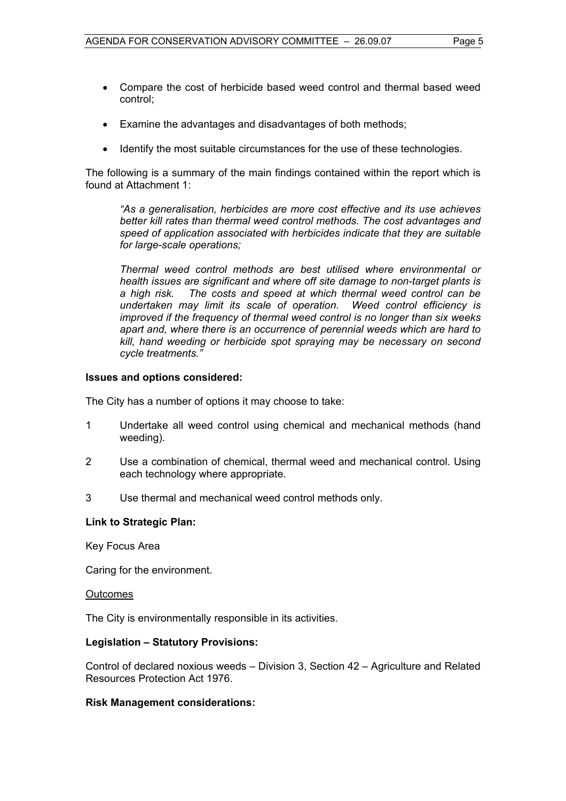- Compare the cost of herbicide based weed control and thermal based weed control;
- Examine the advantages and disadvantages of both methods;
- Identify the most suitable circumstances for the use of these technologies.

The following is a summary of the main findings contained within the report which is found at Attachment 1:

*"As a generalisation, herbicides are more cost effective and its use achieves better kill rates than thermal weed control methods. The cost advantages and speed of application associated with herbicides indicate that they are suitable for large-scale operations;* 

*Thermal weed control methods are best utilised where environmental or health issues are significant and where off site damage to non-target plants is a high risk. The costs and speed at which thermal weed control can be undertaken may limit its scale of operation. Weed control efficiency is improved if the frequency of thermal weed control is no longer than six weeks apart and, where there is an occurrence of perennial weeds which are hard to kill, hand weeding or herbicide spot spraying may be necessary on second cycle treatments."* 

#### **Issues and options considered:**

The City has a number of options it may choose to take:

- 1 Undertake all weed control using chemical and mechanical methods (hand weeding).
- 2 Use a combination of chemical, thermal weed and mechanical control. Using each technology where appropriate.
- 3 Use thermal and mechanical weed control methods only.

#### **Link to Strategic Plan:**

Key Focus Area

Caring for the environment.

#### **Outcomes**

The City is environmentally responsible in its activities.

#### **Legislation – Statutory Provisions:**

Control of declared noxious weeds – Division 3, Section 42 – Agriculture and Related Resources Protection Act 1976.

#### **Risk Management considerations:**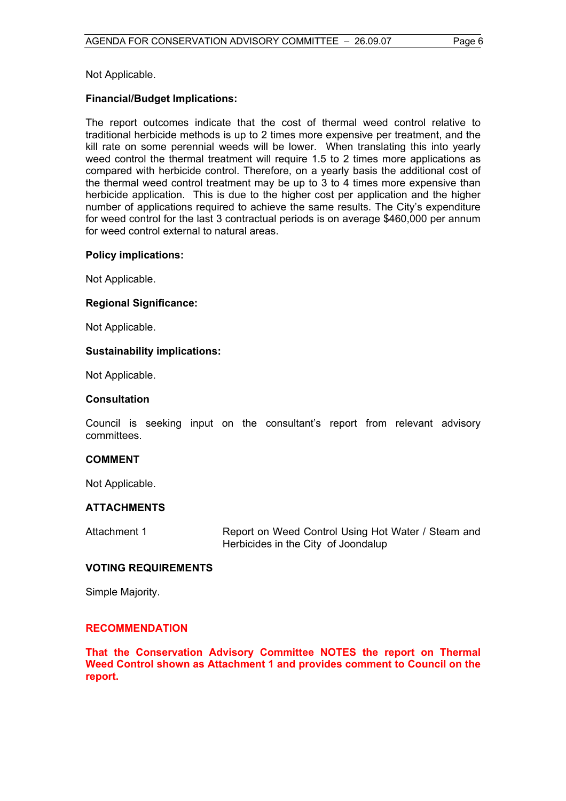Not Applicable.

#### **Financial/Budget Implications:**

The report outcomes indicate that the cost of thermal weed control relative to traditional herbicide methods is up to 2 times more expensive per treatment, and the kill rate on some perennial weeds will be lower. When translating this into yearly weed control the thermal treatment will require 1.5 to 2 times more applications as compared with herbicide control. Therefore, on a yearly basis the additional cost of the thermal weed control treatment may be up to 3 to 4 times more expensive than herbicide application. This is due to the higher cost per application and the higher number of applications required to achieve the same results. The City's expenditure for weed control for the last 3 contractual periods is on average \$460,000 per annum for weed control external to natural areas.

#### **Policy implications:**

Not Applicable.

#### **Regional Significance:**

Not Applicable.

#### **Sustainability implications:**

Not Applicable.

#### **Consultation**

Council is seeking input on the consultant's report from relevant advisory committees.

#### **COMMENT**

Not Applicable.

#### **ATTACHMENTS**

Attachment 1 **Report on Weed Control Using Hot Water / Steam and** Herbicides in the City of Joondalup

#### **VOTING REQUIREMENTS**

Simple Majority.

#### **RECOMMENDATION**

**That the Conservation Advisory Committee NOTES the report on Thermal Weed Control shown as Attachment 1 and provides comment to Council on the report.**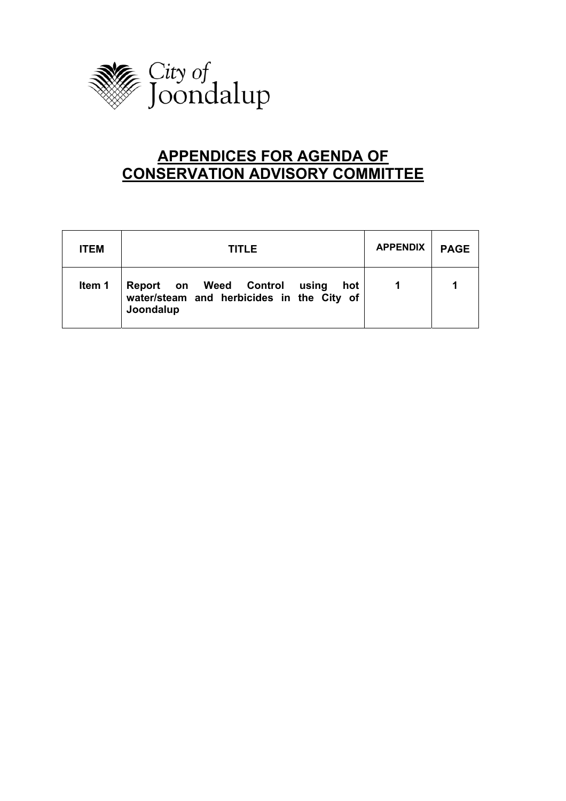

## **APPENDICES FOR AGENDA OF CONSERVATION ADVISORY COMMITTEE**

| <b>ITEM</b> | <b>TITLE</b>                                                                                  | <b>APPENDIX</b> | <b>PAGE</b> |
|-------------|-----------------------------------------------------------------------------------------------|-----------------|-------------|
| Item 1      | Report on Weed Control using<br>hot<br>water/steam and herbicides in the City of<br>Joondalup |                 |             |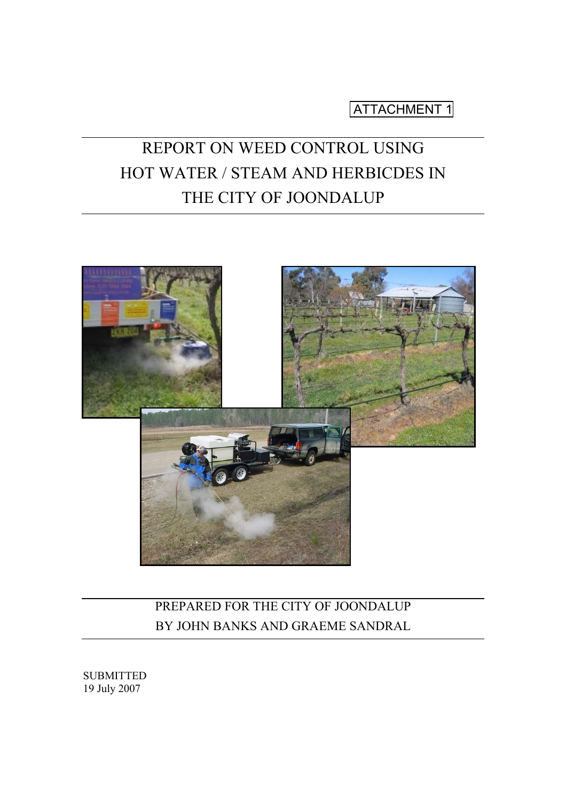ATTACHMENT 1

# REPORT ON WEED CONTROL USING HOT WATER / STEAM AND HERBICDES IN THE CITY OF JOONDALUP



## PREPARED FOR THE CITY OF JOONDALUP BY JOHN BANKS AND GRAEME SANDRAL

SUBMITTED 19 July 2007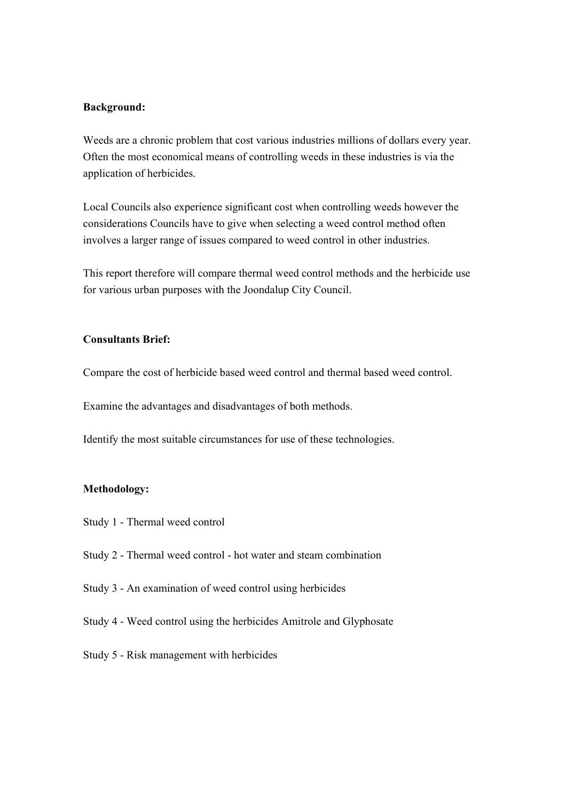#### **Background:**

Weeds are a chronic problem that cost various industries millions of dollars every year. Often the most economical means of controlling weeds in these industries is via the application of herbicides.

Local Councils also experience significant cost when controlling weeds however the considerations Councils have to give when selecting a weed control method often involves a larger range of issues compared to weed control in other industries.

This report therefore will compare thermal weed control methods and the herbicide use for various urban purposes with the Joondalup City Council.

#### **Consultants Brief:**

Compare the cost of herbicide based weed control and thermal based weed control.

Examine the advantages and disadvantages of both methods.

Identify the most suitable circumstances for use of these technologies.

#### **Methodology:**

- Study 1 Thermal weed control
- Study 2 Thermal weed control hot water and steam combination
- Study 3 An examination of weed control using herbicides
- Study 4 Weed control using the herbicides Amitrole and Glyphosate
- Study 5 Risk management with herbicides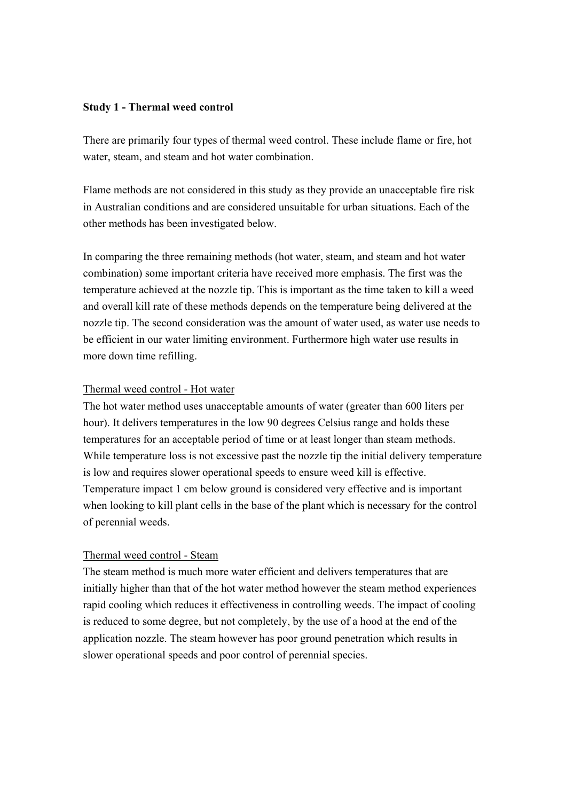#### **Study 1 - Thermal weed control**

There are primarily four types of thermal weed control. These include flame or fire, hot water, steam, and steam and hot water combination.

Flame methods are not considered in this study as they provide an unacceptable fire risk in Australian conditions and are considered unsuitable for urban situations. Each of the other methods has been investigated below.

In comparing the three remaining methods (hot water, steam, and steam and hot water combination) some important criteria have received more emphasis. The first was the temperature achieved at the nozzle tip. This is important as the time taken to kill a weed and overall kill rate of these methods depends on the temperature being delivered at the nozzle tip. The second consideration was the amount of water used, as water use needs to be efficient in our water limiting environment. Furthermore high water use results in more down time refilling.

#### Thermal weed control - Hot water

The hot water method uses unacceptable amounts of water (greater than 600 liters per hour). It delivers temperatures in the low 90 degrees Celsius range and holds these temperatures for an acceptable period of time or at least longer than steam methods. While temperature loss is not excessive past the nozzle tip the initial delivery temperature is low and requires slower operational speeds to ensure weed kill is effective. Temperature impact 1 cm below ground is considered very effective and is important when looking to kill plant cells in the base of the plant which is necessary for the control of perennial weeds.

#### Thermal weed control - Steam

The steam method is much more water efficient and delivers temperatures that are initially higher than that of the hot water method however the steam method experiences rapid cooling which reduces it effectiveness in controlling weeds. The impact of cooling is reduced to some degree, but not completely, by the use of a hood at the end of the application nozzle. The steam however has poor ground penetration which results in slower operational speeds and poor control of perennial species.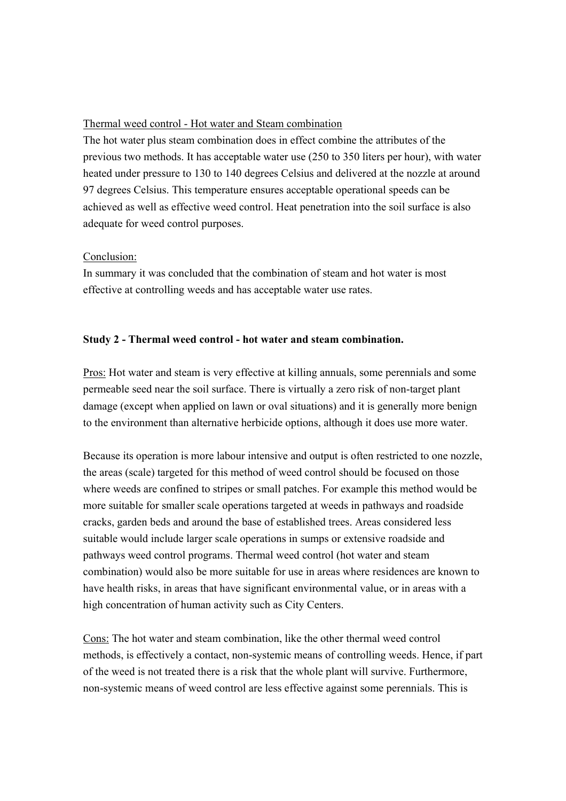#### Thermal weed control - Hot water and Steam combination

The hot water plus steam combination does in effect combine the attributes of the previous two methods. It has acceptable water use (250 to 350 liters per hour), with water heated under pressure to 130 to 140 degrees Celsius and delivered at the nozzle at around 97 degrees Celsius. This temperature ensures acceptable operational speeds can be achieved as well as effective weed control. Heat penetration into the soil surface is also adequate for weed control purposes.

#### Conclusion:

In summary it was concluded that the combination of steam and hot water is most effective at controlling weeds and has acceptable water use rates.

#### **Study 2 - Thermal weed control - hot water and steam combination.**

Pros: Hot water and steam is very effective at killing annuals, some perennials and some permeable seed near the soil surface. There is virtually a zero risk of non-target plant damage (except when applied on lawn or oval situations) and it is generally more benign to the environment than alternative herbicide options, although it does use more water.

Because its operation is more labour intensive and output is often restricted to one nozzle, the areas (scale) targeted for this method of weed control should be focused on those where weeds are confined to stripes or small patches. For example this method would be more suitable for smaller scale operations targeted at weeds in pathways and roadside cracks, garden beds and around the base of established trees. Areas considered less suitable would include larger scale operations in sumps or extensive roadside and pathways weed control programs. Thermal weed control (hot water and steam combination) would also be more suitable for use in areas where residences are known to have health risks, in areas that have significant environmental value, or in areas with a high concentration of human activity such as City Centers.

Cons: The hot water and steam combination, like the other thermal weed control methods, is effectively a contact, non-systemic means of controlling weeds. Hence, if part of the weed is not treated there is a risk that the whole plant will survive. Furthermore, non-systemic means of weed control are less effective against some perennials. This is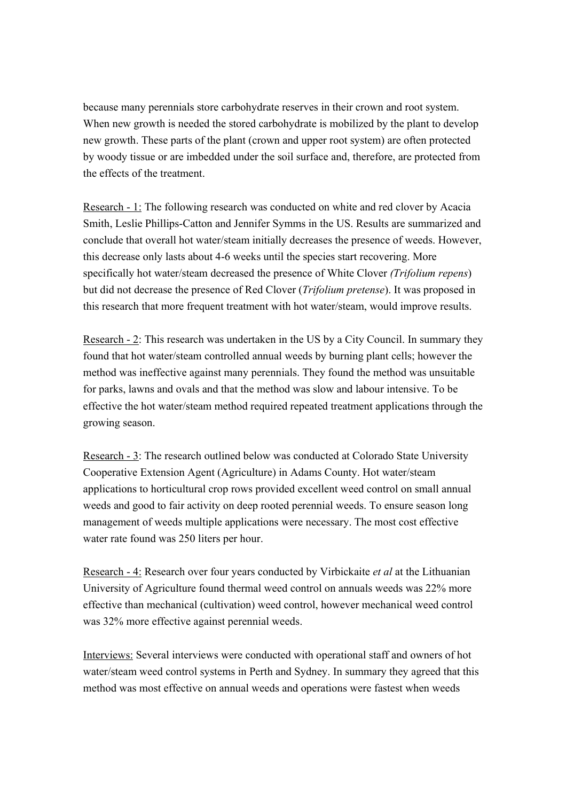because many perennials store carbohydrate reserves in their crown and root system. When new growth is needed the stored carbohydrate is mobilized by the plant to develop new growth. These parts of the plant (crown and upper root system) are often protected by woody tissue or are imbedded under the soil surface and, therefore, are protected from the effects of the treatment.

Research - 1: The following research was conducted on white and red clover by Acacia Smith, Leslie Phillips-Catton and Jennifer Symms in the US. Results are summarized and conclude that overall hot water/steam initially decreases the presence of weeds. However, this decrease only lasts about 4-6 weeks until the species start recovering. More specifically hot water/steam decreased the presence of White Clover *(Trifolium repens*) but did not decrease the presence of Red Clover (*Trifolium pretense*). It was proposed in this research that more frequent treatment with hot water/steam, would improve results.

Research - 2: This research was undertaken in the US by a City Council. In summary they found that hot water/steam controlled annual weeds by burning plant cells; however the method was ineffective against many perennials. They found the method was unsuitable for parks, lawns and ovals and that the method was slow and labour intensive. To be effective the hot water/steam method required repeated treatment applications through the growing season.

Research - 3: The research outlined below was conducted at Colorado State University Cooperative Extension Agent (Agriculture) in Adams County. Hot water/steam applications to horticultural crop rows provided excellent weed control on small annual weeds and good to fair activity on deep rooted perennial weeds. To ensure season long management of weeds multiple applications were necessary. The most cost effective water rate found was 250 liters per hour.

Research - 4: Research over four years conducted by Virbickaite *et al* at the Lithuanian University of Agriculture found thermal weed control on annuals weeds was 22% more effective than mechanical (cultivation) weed control, however mechanical weed control was 32% more effective against perennial weeds.

Interviews: Several interviews were conducted with operational staff and owners of hot water/steam weed control systems in Perth and Sydney. In summary they agreed that this method was most effective on annual weeds and operations were fastest when weeds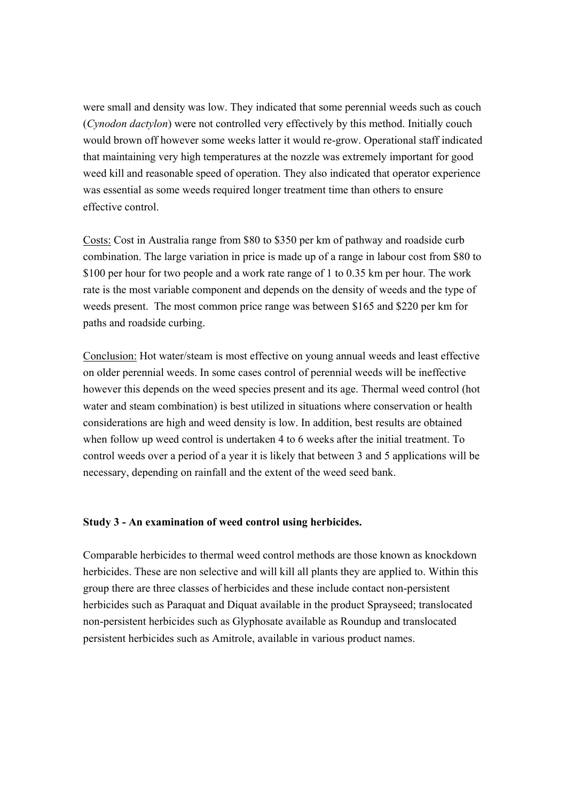were small and density was low. They indicated that some perennial weeds such as couch (*Cynodon dactylon*) were not controlled very effectively by this method. Initially couch would brown off however some weeks latter it would re-grow. Operational staff indicated that maintaining very high temperatures at the nozzle was extremely important for good weed kill and reasonable speed of operation. They also indicated that operator experience was essential as some weeds required longer treatment time than others to ensure effective control.

Costs: Cost in Australia range from \$80 to \$350 per km of pathway and roadside curb combination. The large variation in price is made up of a range in labour cost from \$80 to \$100 per hour for two people and a work rate range of 1 to 0.35 km per hour. The work rate is the most variable component and depends on the density of weeds and the type of weeds present. The most common price range was between \$165 and \$220 per km for paths and roadside curbing.

Conclusion: Hot water/steam is most effective on young annual weeds and least effective on older perennial weeds. In some cases control of perennial weeds will be ineffective however this depends on the weed species present and its age. Thermal weed control (hot water and steam combination) is best utilized in situations where conservation or health considerations are high and weed density is low. In addition, best results are obtained when follow up weed control is undertaken 4 to 6 weeks after the initial treatment. To control weeds over a period of a year it is likely that between 3 and 5 applications will be necessary, depending on rainfall and the extent of the weed seed bank.

#### **Study 3 - An examination of weed control using herbicides.**

Comparable herbicides to thermal weed control methods are those known as knockdown herbicides. These are non selective and will kill all plants they are applied to. Within this group there are three classes of herbicides and these include contact non-persistent herbicides such as Paraquat and Diquat available in the product Sprayseed; translocated non-persistent herbicides such as Glyphosate available as Roundup and translocated persistent herbicides such as Amitrole, available in various product names.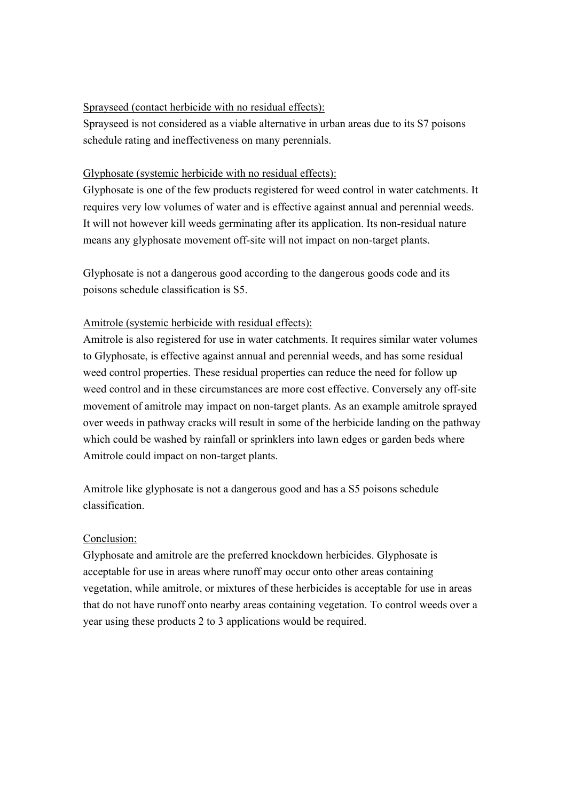#### Sprayseed (contact herbicide with no residual effects):

Sprayseed is not considered as a viable alternative in urban areas due to its S7 poisons schedule rating and ineffectiveness on many perennials.

#### Glyphosate (systemic herbicide with no residual effects):

Glyphosate is one of the few products registered for weed control in water catchments. It requires very low volumes of water and is effective against annual and perennial weeds. It will not however kill weeds germinating after its application. Its non-residual nature means any glyphosate movement off-site will not impact on non-target plants.

Glyphosate is not a dangerous good according to the dangerous goods code and its poisons schedule classification is S5.

#### Amitrole (systemic herbicide with residual effects):

Amitrole is also registered for use in water catchments. It requires similar water volumes to Glyphosate, is effective against annual and perennial weeds, and has some residual weed control properties. These residual properties can reduce the need for follow up weed control and in these circumstances are more cost effective. Conversely any off-site movement of amitrole may impact on non-target plants. As an example amitrole sprayed over weeds in pathway cracks will result in some of the herbicide landing on the pathway which could be washed by rainfall or sprinklers into lawn edges or garden beds where Amitrole could impact on non-target plants.

Amitrole like glyphosate is not a dangerous good and has a S5 poisons schedule classification.

#### Conclusion:

Glyphosate and amitrole are the preferred knockdown herbicides. Glyphosate is acceptable for use in areas where runoff may occur onto other areas containing vegetation, while amitrole, or mixtures of these herbicides is acceptable for use in areas that do not have runoff onto nearby areas containing vegetation. To control weeds over a year using these products 2 to 3 applications would be required.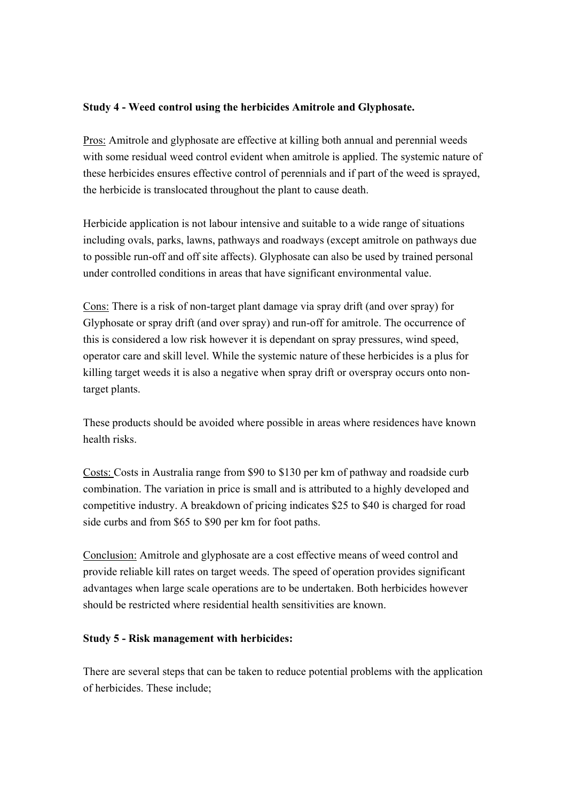#### **Study 4 - Weed control using the herbicides Amitrole and Glyphosate.**

Pros: Amitrole and glyphosate are effective at killing both annual and perennial weeds with some residual weed control evident when amitrole is applied. The systemic nature of these herbicides ensures effective control of perennials and if part of the weed is sprayed, the herbicide is translocated throughout the plant to cause death.

Herbicide application is not labour intensive and suitable to a wide range of situations including ovals, parks, lawns, pathways and roadways (except amitrole on pathways due to possible run-off and off site affects). Glyphosate can also be used by trained personal under controlled conditions in areas that have significant environmental value.

Cons: There is a risk of non-target plant damage via spray drift (and over spray) for Glyphosate or spray drift (and over spray) and run-off for amitrole. The occurrence of this is considered a low risk however it is dependant on spray pressures, wind speed, operator care and skill level. While the systemic nature of these herbicides is a plus for killing target weeds it is also a negative when spray drift or overspray occurs onto nontarget plants.

These products should be avoided where possible in areas where residences have known health risks.

Costs: Costs in Australia range from \$90 to \$130 per km of pathway and roadside curb combination. The variation in price is small and is attributed to a highly developed and competitive industry. A breakdown of pricing indicates \$25 to \$40 is charged for road side curbs and from \$65 to \$90 per km for foot paths.

Conclusion: Amitrole and glyphosate are a cost effective means of weed control and provide reliable kill rates on target weeds. The speed of operation provides significant advantages when large scale operations are to be undertaken. Both herbicides however should be restricted where residential health sensitivities are known.

#### **Study 5 - Risk management with herbicides:**

There are several steps that can be taken to reduce potential problems with the application of herbicides. These include;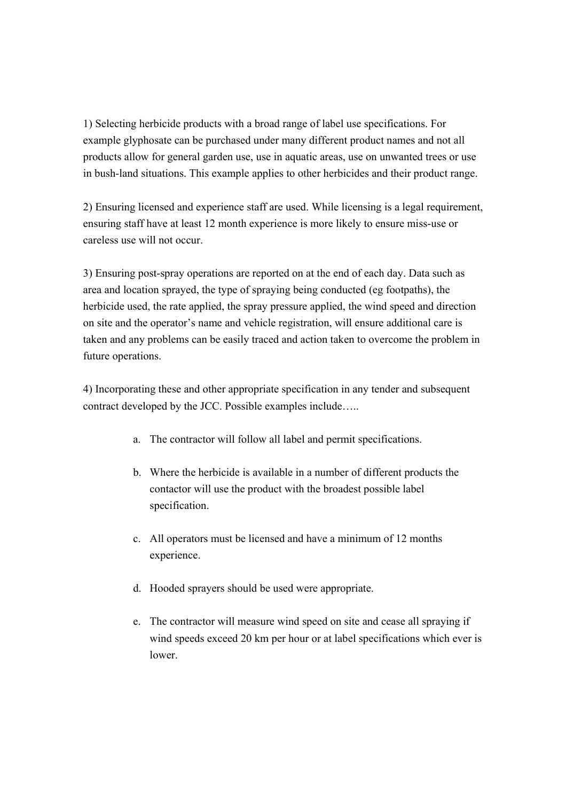1) Selecting herbicide products with a broad range of label use specifications. For example glyphosate can be purchased under many different product names and not all products allow for general garden use, use in aquatic areas, use on unwanted trees or use in bush-land situations. This example applies to other herbicides and their product range.

2) Ensuring licensed and experience staff are used. While licensing is a legal requirement, ensuring staff have at least 12 month experience is more likely to ensure miss-use or careless use will not occur.

3) Ensuring post-spray operations are reported on at the end of each day. Data such as area and location sprayed, the type of spraying being conducted (eg footpaths), the herbicide used, the rate applied, the spray pressure applied, the wind speed and direction on site and the operator's name and vehicle registration, will ensure additional care is taken and any problems can be easily traced and action taken to overcome the problem in future operations.

4) Incorporating these and other appropriate specification in any tender and subsequent contract developed by the JCC. Possible examples include…..

- a. The contractor will follow all label and permit specifications.
- b. Where the herbicide is available in a number of different products the contactor will use the product with the broadest possible label specification.
- c. All operators must be licensed and have a minimum of 12 months experience.
- d. Hooded sprayers should be used were appropriate.
- e. The contractor will measure wind speed on site and cease all spraying if wind speeds exceed 20 km per hour or at label specifications which ever is lower.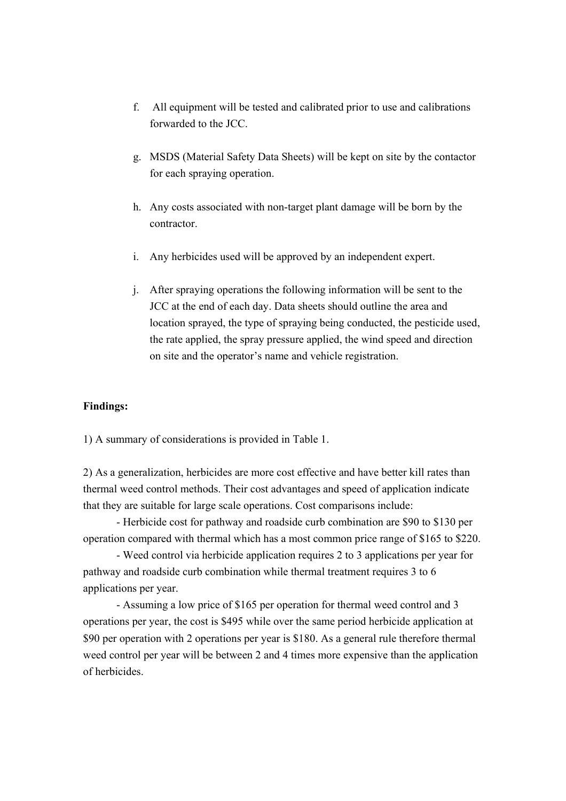- f. All equipment will be tested and calibrated prior to use and calibrations forwarded to the JCC.
- g. MSDS (Material Safety Data Sheets) will be kept on site by the contactor for each spraying operation.
- h. Any costs associated with non-target plant damage will be born by the contractor.
- i. Any herbicides used will be approved by an independent expert.
- j. After spraying operations the following information will be sent to the JCC at the end of each day. Data sheets should outline the area and location sprayed, the type of spraying being conducted, the pesticide used, the rate applied, the spray pressure applied, the wind speed and direction on site and the operator's name and vehicle registration.

#### **Findings:**

1) A summary of considerations is provided in Table 1.

2) As a generalization, herbicides are more cost effective and have better kill rates than thermal weed control methods. Their cost advantages and speed of application indicate that they are suitable for large scale operations. Cost comparisons include:

 - Herbicide cost for pathway and roadside curb combination are \$90 to \$130 per operation compared with thermal which has a most common price range of \$165 to \$220.

 - Weed control via herbicide application requires 2 to 3 applications per year for pathway and roadside curb combination while thermal treatment requires 3 to 6 applications per year.

 - Assuming a low price of \$165 per operation for thermal weed control and 3 operations per year, the cost is \$495 while over the same period herbicide application at \$90 per operation with 2 operations per year is \$180. As a general rule therefore thermal weed control per year will be between 2 and 4 times more expensive than the application of herbicides.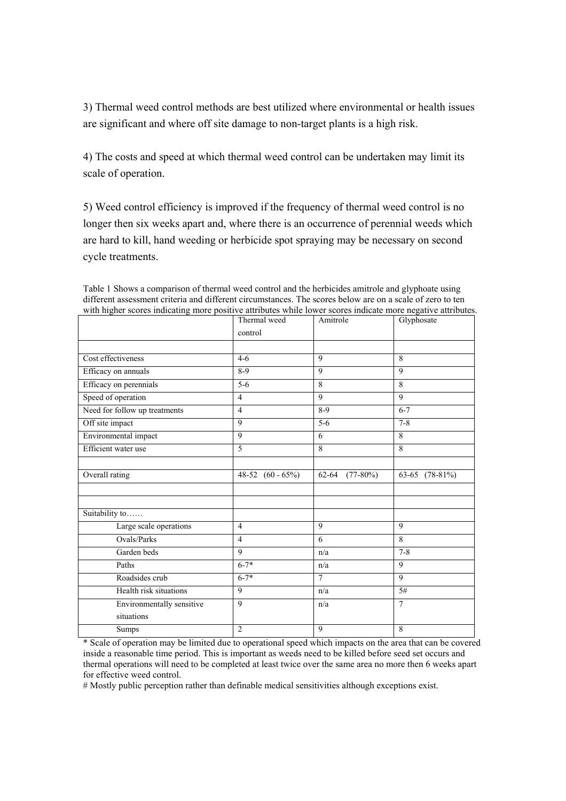3) Thermal weed control methods are best utilized where environmental or health issues are significant and where off site damage to non-target plants is a high risk.

4) The costs and speed at which thermal weed control can be undertaken may limit its scale of operation.

5) Weed control efficiency is improved if the frequency of thermal weed control is no longer then six weeks apart and, where there is an occurrence of perennial weeds which are hard to kill, hand weeding or herbicide spot spraying may be necessary on second cycle treatments.

| with inglice scores indicating more positive attributes while lower scores indicate more negative attributes | Thermal weed        | Amitrole            | Glyphosate        |
|--------------------------------------------------------------------------------------------------------------|---------------------|---------------------|-------------------|
|                                                                                                              | control             |                     |                   |
|                                                                                                              |                     |                     |                   |
| Cost effectiveness                                                                                           | $4-6$               | $\mathbf Q$         | $\mathbf{8}$      |
| Efficacy on annuals                                                                                          | $8-9$               | $\overline{Q}$      | $\mathbf Q$       |
| Efficacy on perennials                                                                                       | $5-6$               | 8                   | 8                 |
| Speed of operation                                                                                           | $\overline{4}$      | $\mathbf Q$         | $\mathbf Q$       |
| Need for follow up treatments                                                                                | $\overline{4}$      | $8-9$               | $6 - 7$           |
| Off site impact                                                                                              | $\overline{9}$      | $5 - 6$             | $7 - 8$           |
| Environmental impact                                                                                         | 9                   | 6                   | 8                 |
| Efficient water use                                                                                          | 5                   | 8                   | 8                 |
|                                                                                                              |                     |                     |                   |
| Overall rating                                                                                               | 48-52 $(60 - 65\%)$ | $62-64$ $(77-80\%)$ | 63-65 $(78-81\%)$ |
|                                                                                                              |                     |                     |                   |
|                                                                                                              |                     |                     |                   |
| Suitability to                                                                                               |                     |                     |                   |
| Large scale operations                                                                                       | $\overline{4}$      | 9                   | 9                 |
| Ovals/Parks                                                                                                  | $\overline{4}$      | 6                   | 8                 |
| Garden beds                                                                                                  | 9                   | n/a                 | $7 - 8$           |
| Paths                                                                                                        | $6 - 7*$            | n/a                 | 9                 |
| Roadsides crub                                                                                               | $6 - 7*$            | $\tau$              | 9                 |
| Health risk situations                                                                                       | 9                   | n/a                 | 5#                |
| Environmentally sensitive                                                                                    | 9                   | n/a                 | $\tau$            |
| situations                                                                                                   |                     |                     |                   |
| Sumps                                                                                                        | $\overline{2}$      | 9                   | 8                 |

Table 1 Shows a comparison of thermal weed control and the herbicides amitrole and glyphoate using different assessment criteria and different circumstances. The scores below are on a scale of zero to ten with higher scores indicating more positive attributes while lower scores indicate more negative attributes.

\* Scale of operation may be limited due to operational speed which impacts on the area that can be covered inside a reasonable time period. This is important as weeds need to be killed before seed set occurs and thermal operations will need to be completed at least twice over the same area no more then 6 weeks apart for effective weed control.

# Mostly public perception rather than definable medical sensitivities although exceptions exist.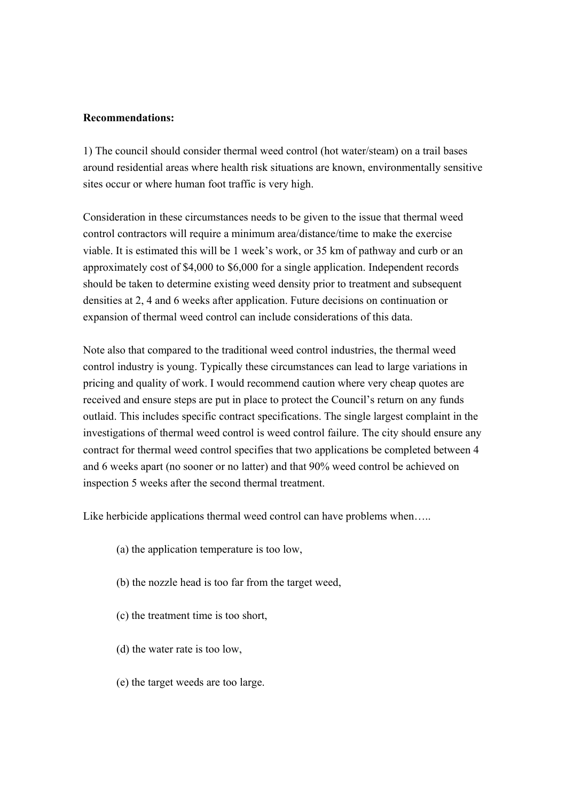#### **Recommendations:**

1) The council should consider thermal weed control (hot water/steam) on a trail bases around residential areas where health risk situations are known, environmentally sensitive sites occur or where human foot traffic is very high.

Consideration in these circumstances needs to be given to the issue that thermal weed control contractors will require a minimum area/distance/time to make the exercise viable. It is estimated this will be 1 week's work, or 35 km of pathway and curb or an approximately cost of \$4,000 to \$6,000 for a single application. Independent records should be taken to determine existing weed density prior to treatment and subsequent densities at 2, 4 and 6 weeks after application. Future decisions on continuation or expansion of thermal weed control can include considerations of this data.

Note also that compared to the traditional weed control industries, the thermal weed control industry is young. Typically these circumstances can lead to large variations in pricing and quality of work. I would recommend caution where very cheap quotes are received and ensure steps are put in place to protect the Council's return on any funds outlaid. This includes specific contract specifications. The single largest complaint in the investigations of thermal weed control is weed control failure. The city should ensure any contract for thermal weed control specifies that two applications be completed between 4 and 6 weeks apart (no sooner or no latter) and that 90% weed control be achieved on inspection 5 weeks after the second thermal treatment.

Like herbicide applications thermal weed control can have problems when.....

- (a) the application temperature is too low,
- (b) the nozzle head is too far from the target weed,
- (c) the treatment time is too short,
- (d) the water rate is too low,
- (e) the target weeds are too large.